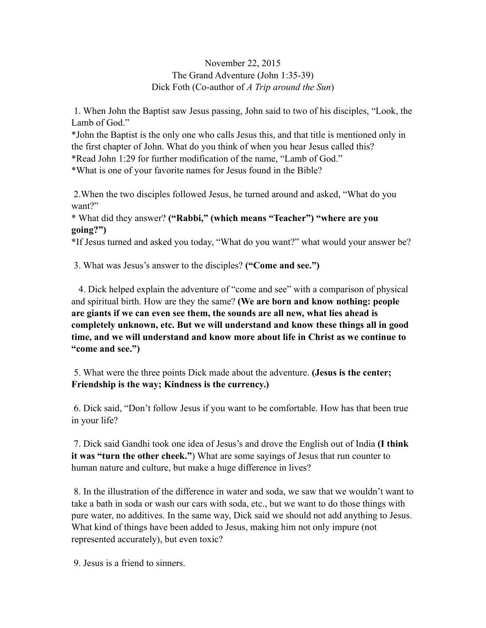## November 22, 2015 The Grand Adventure (John 1:35-39) Dick Foth (Co-author of *A Trip around the Sun*)

 1. When John the Baptist saw Jesus passing, John said to two of his disciples, "Look, the Lamb of God."

\*John the Baptist is the only one who calls Jesus this, and that title is mentioned only in the first chapter of John. What do you think of when you hear Jesus called this?

\*Read John 1:29 for further modification of the name, "Lamb of God."

\*What is one of your favorite names for Jesus found in the Bible?

 2.When the two disciples followed Jesus, he turned around and asked, "What do you want?"

\* What did they answer? **("Rabbi," (which means "Teacher") "where are you going?")** 

\*If Jesus turned and asked you today, "What do you want?" what would your answer be?

3. What was Jesus's answer to the disciples? **("Come and see.")** 

 4. Dick helped explain the adventure of "come and see" with a comparison of physical and spiritual birth. How are they the same? **(We are born and know nothing: people are giants if we can even see them, the sounds are all new, what lies ahead is completely unknown, etc. But we will understand and know these things all in good time, and we will understand and know more about life in Christ as we continue to "come and see.")** 

5. What were the three points Dick made about the adventure. **(Jesus is the center; Friendship is the way; Kindness is the currency.)** 

6. Dick said, "Don't follow Jesus if you want to be comfortable. How has that been true in your life?

 7. Dick said Gandhi took one idea of Jesus's and drove the English out of India **(I think it was "turn the other cheek."**) What are some sayings of Jesus that run counter to human nature and culture, but make a huge difference in lives?

 8. In the illustration of the difference in water and soda, we saw that we wouldn't want to take a bath in soda or wash our cars with soda, etc., but we want to do those things with pure water, no additives. In the same way, Dick said we should not add anything to Jesus. What kind of things have been added to Jesus, making him not only impure (not represented accurately), but even toxic?

9. Jesus is a friend to sinners.